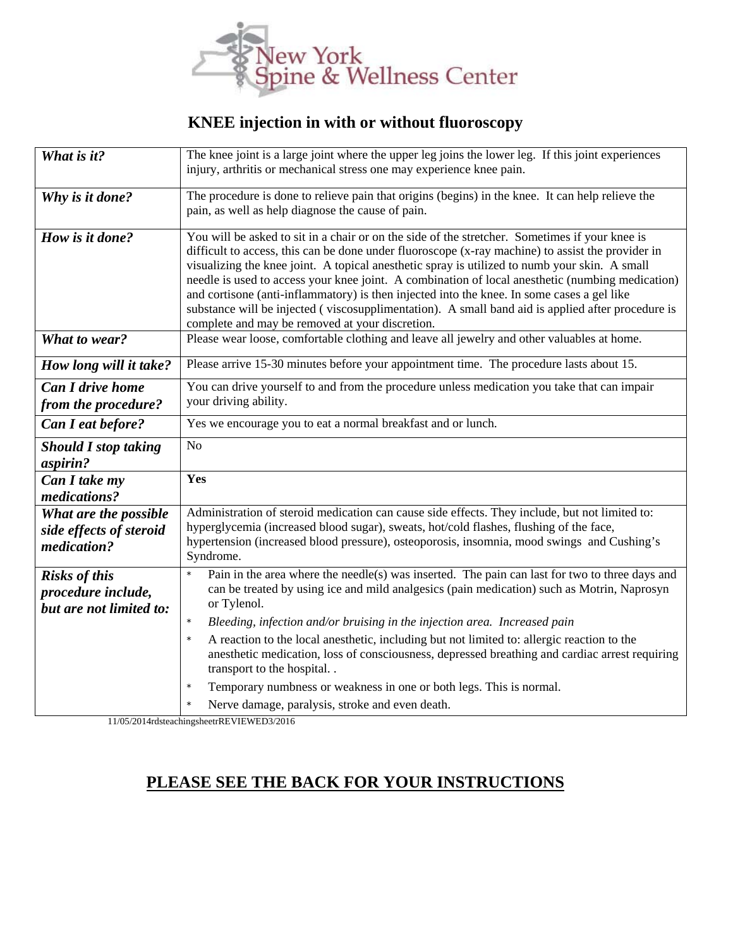

## **KNEE injection in with or without fluoroscopy**

| What is it?                                                           | The knee joint is a large joint where the upper leg joins the lower leg. If this joint experiences<br>injury, arthritis or mechanical stress one may experience knee pain.                                                                                                                                                                                                                                                                                                                                                                                                                                                                                     |
|-----------------------------------------------------------------------|----------------------------------------------------------------------------------------------------------------------------------------------------------------------------------------------------------------------------------------------------------------------------------------------------------------------------------------------------------------------------------------------------------------------------------------------------------------------------------------------------------------------------------------------------------------------------------------------------------------------------------------------------------------|
| Why is it done?                                                       | The procedure is done to relieve pain that origins (begins) in the knee. It can help relieve the<br>pain, as well as help diagnose the cause of pain.                                                                                                                                                                                                                                                                                                                                                                                                                                                                                                          |
| How is it done?                                                       | You will be asked to sit in a chair or on the side of the stretcher. Sometimes if your knee is<br>difficult to access, this can be done under fluoroscope (x-ray machine) to assist the provider in<br>visualizing the knee joint. A topical anesthetic spray is utilized to numb your skin. A small<br>needle is used to access your knee joint. A combination of local anesthetic (numbing medication)<br>and cortisone (anti-inflammatory) is then injected into the knee. In some cases a gel like<br>substance will be injected (viscosupplimentation). A small band aid is applied after procedure is<br>complete and may be removed at your discretion. |
| What to wear?                                                         | Please wear loose, comfortable clothing and leave all jewelry and other valuables at home.                                                                                                                                                                                                                                                                                                                                                                                                                                                                                                                                                                     |
| How long will it take?                                                | Please arrive 15-30 minutes before your appointment time. The procedure lasts about 15.                                                                                                                                                                                                                                                                                                                                                                                                                                                                                                                                                                        |
| <b>Can I drive home</b><br>from the procedure?                        | You can drive yourself to and from the procedure unless medication you take that can impair<br>your driving ability.                                                                                                                                                                                                                                                                                                                                                                                                                                                                                                                                           |
| Can I eat before?                                                     | Yes we encourage you to eat a normal breakfast and or lunch.                                                                                                                                                                                                                                                                                                                                                                                                                                                                                                                                                                                                   |
| <b>Should I stop taking</b>                                           | N <sub>o</sub>                                                                                                                                                                                                                                                                                                                                                                                                                                                                                                                                                                                                                                                 |
| aspirin?                                                              |                                                                                                                                                                                                                                                                                                                                                                                                                                                                                                                                                                                                                                                                |
| Can I take my<br>medications?                                         | Yes                                                                                                                                                                                                                                                                                                                                                                                                                                                                                                                                                                                                                                                            |
| What are the possible<br>side effects of steroid<br>medication?       | Administration of steroid medication can cause side effects. They include, but not limited to:<br>hyperglycemia (increased blood sugar), sweats, hot/cold flashes, flushing of the face,<br>hypertension (increased blood pressure), osteoporosis, insomnia, mood swings and Cushing's<br>Syndrome.                                                                                                                                                                                                                                                                                                                                                            |
| <b>Risks of this</b><br>procedure include,<br>but are not limited to: | $\star$<br>Pain in the area where the needle(s) was inserted. The pain can last for two to three days and<br>can be treated by using ice and mild analgesics (pain medication) such as Motrin, Naprosyn<br>or Tylenol.                                                                                                                                                                                                                                                                                                                                                                                                                                         |
|                                                                       | $\star$<br>Bleeding, infection and/or bruising in the injection area. Increased pain<br>$\star$<br>A reaction to the local anesthetic, including but not limited to: allergic reaction to the<br>anesthetic medication, loss of consciousness, depressed breathing and cardiac arrest requiring<br>transport to the hospital                                                                                                                                                                                                                                                                                                                                   |
|                                                                       | Temporary numbness or weakness in one or both legs. This is normal.<br>Nerve damage, paralysis, stroke and even death.                                                                                                                                                                                                                                                                                                                                                                                                                                                                                                                                         |

## **PLEASE SEE THE BACK FOR YOUR INSTRUCTIONS**